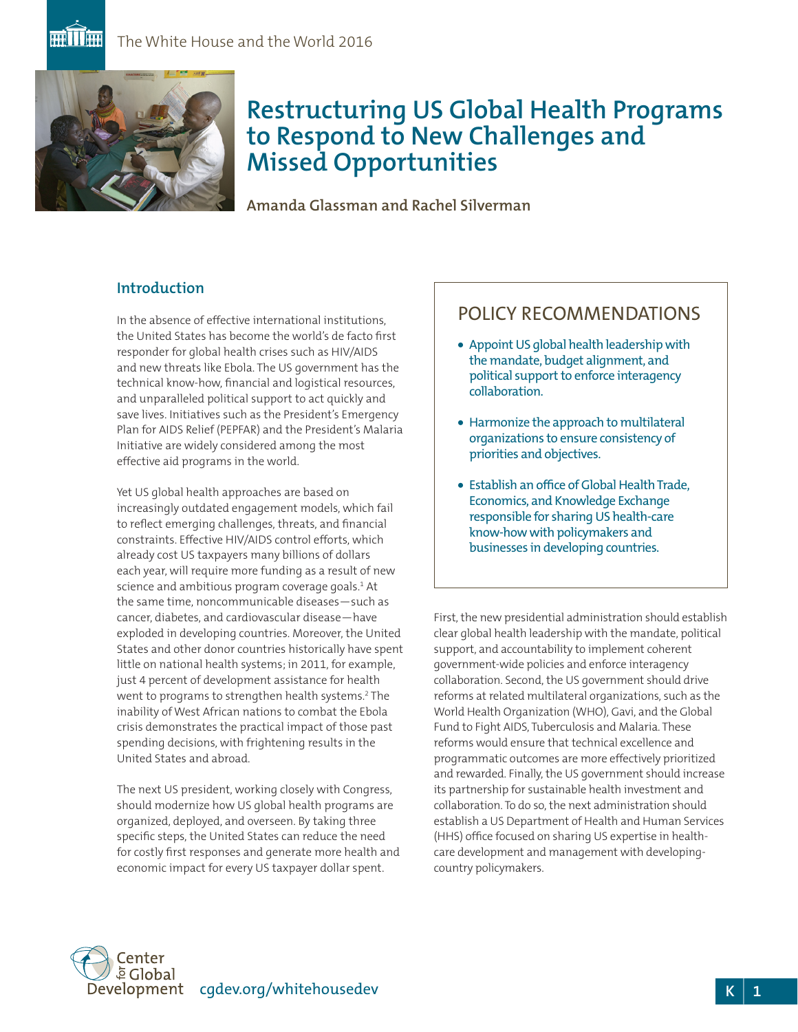

# **Restructuring US Global Health Programs to Respond to New Challenges and Missed Opportunities**

**Amanda Glassman and Rachel Silverman**

# **Introduction**

In the absence of effective international institutions, the United States has become the world's de facto first responder for global health crises such as HIV/AIDS and new threats like Ebola. The US government has the technical know-how, financial and logistical resources, and unparalleled political support to act quickly and save lives. Initiatives such as the President's Emergency Plan for AIDS Relief (PEPFAR) and the President's Malaria Initiative are widely considered among the most effective aid programs in the world.

Yet US global health approaches are based on increasingly outdated engagement models, which fail to reflect emerging challenges, threats, and financial constraints. Effective HIV/AIDS control efforts, which already cost US taxpayers many billions of dollars each year, will require more funding as a result of new science and ambitious program coverage goals.<sup>1</sup> At the same time, noncommunicable diseases—such as cancer, diabetes, and cardiovascular disease—have exploded in developing countries. Moreover, the United States and other donor countries historically have spent little on national health systems; in 2011, for example, just 4 percent of development assistance for health went to programs to strengthen health systems.2 The inability of West African nations to combat the Ebola crisis demonstrates the practical impact of those past spending decisions, with frightening results in the United States and abroad.

The next US president, working closely with Congress, should modernize how US global health programs are organized, deployed, and overseen. By taking three specific steps, the United States can reduce the need for costly first responses and generate more health and economic impact for every US taxpayer dollar spent.

# POLICY RECOMMENDATIONS

- Appoint US global health leadership with the mandate, budget alignment, and political support to enforce interagency collaboration.
- Harmonize the approach to multilateral organizations to ensure consistency of priorities and objectives.
- Establish an office of Global Health Trade, Economics, and Knowledge Exchange responsible for sharing US health-care know-howwith policymakers and businesses in developing countries.

First, the new presidential administration should establish clear global health leadership with the mandate, political support, and accountability to implement coherent government-wide policies and enforce interagency collaboration. Second, the US government should drive reforms at related multilateral organizations, such as the World Health Organization (WHO), Gavi, and the Global Fund to Fight AIDS, Tuberculosis and Malaria. These reforms would ensure that technical excellence and programmatic outcomes are more effectively prioritized and rewarded. Finally, the US government should increase its partnership for sustainable health investment and collaboration. To do so, the next administration should establish a US Department of Health and Human Services (HHS) office focused on sharing US expertise in healthcare development and management with developingcountry policymakers.

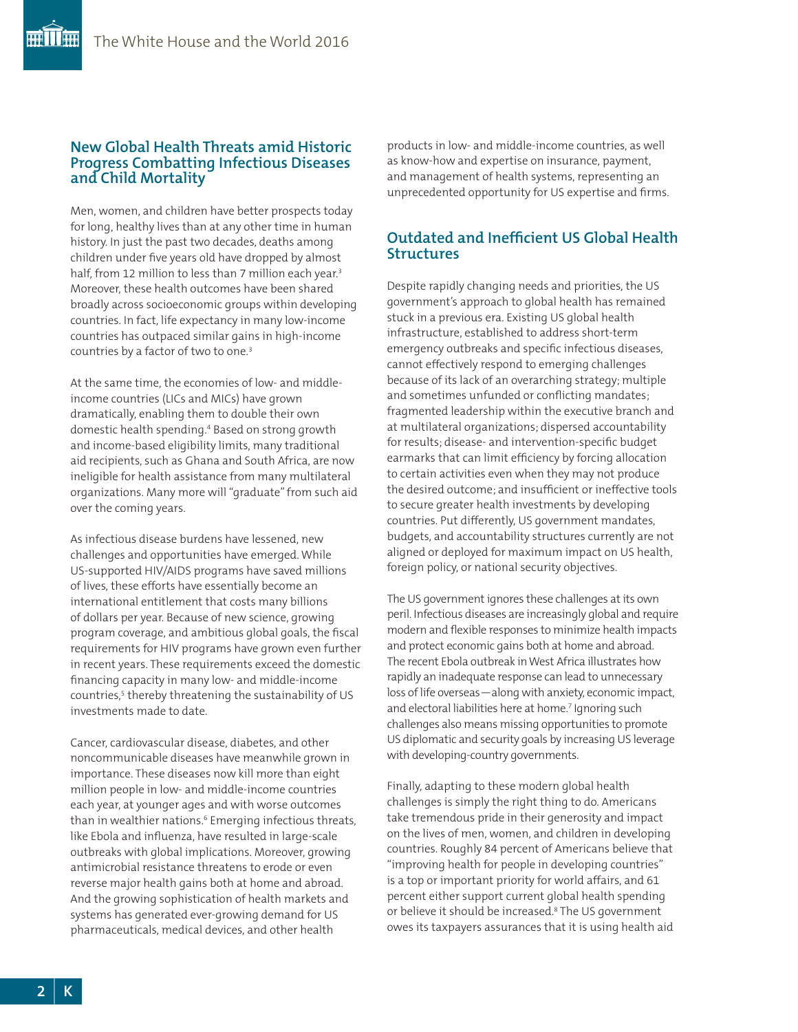# **New Global Health Threats amid Historic Progress Combatting Infectious Diseases and Child Mortality**

Men, women, and children have better prospects today for long, healthy lives than at any other time in human history. In just the past two decades, deaths among children under five years old have dropped by almost half, from 12 million to less than 7 million each year.<sup>3</sup> Moreover, these health outcomes have been shared broadly across socioeconomic groups within developing countries. In fact, life expectancy in many low-income countries has outpaced similar gains in high-income countries by a factor of two to one.<sup>3</sup>

At the same time, the economies of low- and middleincome countries (LICs and MICs) have grown dramatically, enabling them to double their own domestic health spending.4 Based on strong growth and income-based eligibility limits, many traditional aid recipients, such as Ghana and South Africa, are now ineligible for health assistance from many multilateral organizations. Many more will "graduate" from such aid over the coming years.

As infectious disease burdens have lessened, new challenges and opportunities have emerged. While US-supported HIV/AIDS programs have saved millions of lives, these efforts have essentially become an international entitlement that costs many billions of dollars per year. Because of new science, growing program coverage, and ambitious global goals, the fiscal requirements for HIV programs have grown even further in recent years. These requirements exceed the domestic financing capacity in many low- and middle-income countries,<sup>5</sup> thereby threatening the sustainability of US investments made to date.

Cancer, cardiovascular disease, diabetes, and other noncommunicable diseases have meanwhile grown in importance. These diseases now kill more than eight million people in low- and middle-income countries each year, at younger ages and with worse outcomes than in wealthier nations.<sup>6</sup> Emerging infectious threats, like Ebola and influenza, have resulted in large-scale outbreaks with global implications. Moreover, growing antimicrobial resistance threatens to erode or even reverse major health gains both at home and abroad. And the growing sophistication of health markets and systems has generated ever-growing demand for US pharmaceuticals, medical devices, and other health

products in low- and middle-income countries, as well as know-how and expertise on insurance, payment, and management of health systems, representing an unprecedented opportunity for US expertise and firms.

# **Outdated and Inefficient US Global Health Structures**

Despite rapidly changing needs and priorities, the US government's approach to global health has remained stuck in a previous era. Existing US global health infrastructure, established to address short-term emergency outbreaks and specific infectious diseases, cannot effectively respond to emerging challenges because of its lack of an overarching strategy; multiple and sometimes unfunded or conflicting mandates; fragmented leadership within the executive branch and at multilateral organizations; dispersed accountability for results; disease- and intervention-specific budget earmarks that can limit efficiency by forcing allocation to certain activities even when they may not produce the desired outcome; and insufficient or ineffective tools to secure greater health investments by developing countries. Put differently, US government mandates, budgets, and accountability structures currently are not aligned or deployed for maximum impact on US health, foreign policy, or national security objectives.

The US government ignores these challenges at its own peril. Infectious diseases are increasingly global and require modern and flexible responses to minimize health impacts and protect economic gains both at home and abroad. The recent Ebola outbreak in West Africa illustrates how rapidly an inadequate response can lead to unnecessary loss of life overseas—along with anxiety, economic impact, and electoral liabilities here at home.<sup>7</sup> Ignoring such challenges also means missing opportunities to promote US diplomatic and security goals by increasing US leverage with developing-country governments.

Finally, adapting to these modern global health challenges is simply the right thing to do. Americans take tremendous pride in their generosity and impact on the lives of men, women, and children in developing countries. Roughly 84 percent of Americans believe that "improving health for people in developing countries" is a top or important priority for world affairs, and 61 percent either support current global health spending or believe it should be increased.8 The US government owes its taxpayers assurances that it is using health aid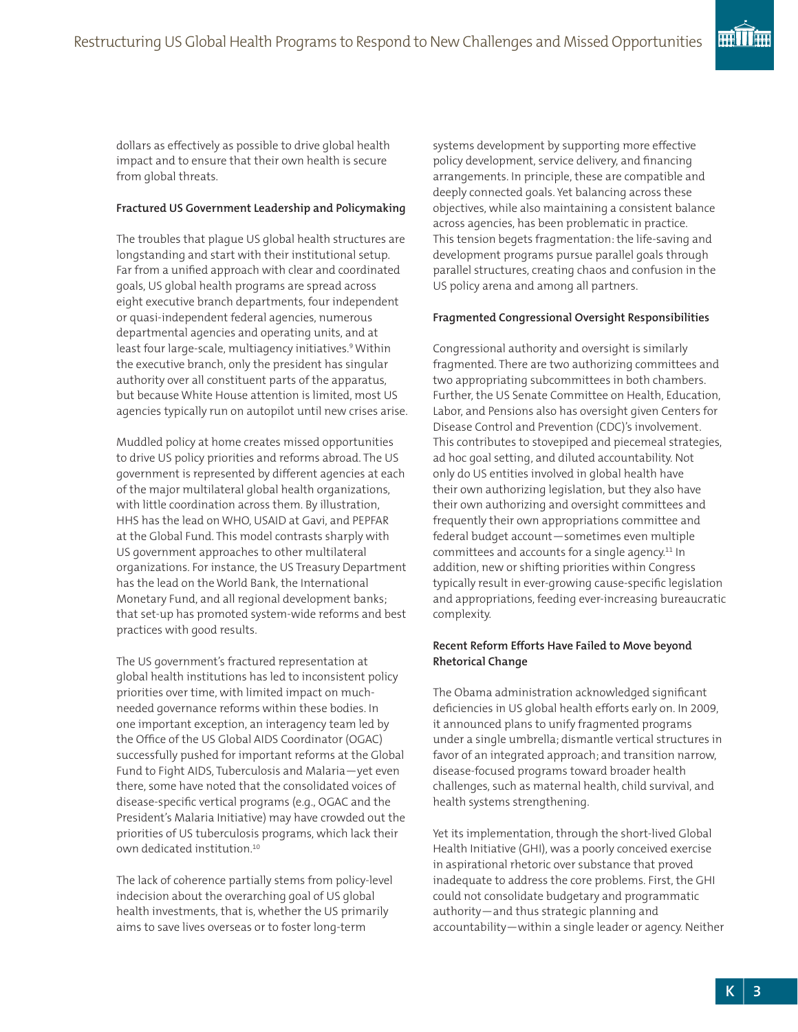dollars as effectively as possible to drive global health impact and to ensure that their own health is secure from global threats.

#### **Fractured US Government Leadership and Policymaking**

The troubles that plague US global health structures are longstanding and start with their institutional setup. Far from a unified approach with clear and coordinated goals, US global health programs are spread across eight executive branch departments, four independent or quasi-independent federal agencies, numerous departmental agencies and operating units, and at least four large-scale, multiagency initiatives.<sup>9</sup> Within the executive branch, only the president has singular authority over all constituent parts of the apparatus, but because White House attention is limited, most US agencies typically run on autopilot until new crises arise.

Muddled policy at home creates missed opportunities to drive US policy priorities and reforms abroad. The US government is represented by different agencies at each of the major multilateral global health organizations, with little coordination across them. By illustration, HHS has the lead on WHO, USAID at Gavi, and PEPFAR at the Global Fund. This model contrasts sharply with US government approaches to other multilateral organizations. For instance, the US Treasury Department has the lead on the World Bank, the International Monetary Fund, and all regional development banks; that set-up has promoted system-wide reforms and best practices with good results.

The US government's fractured representation at global health institutions has led to inconsistent policy priorities over time, with limited impact on muchneeded governance reforms within these bodies. In one important exception, an interagency team led by the Office of the US Global AIDS Coordinator (OGAC) successfully pushed for important reforms at the Global Fund to Fight AIDS, Tuberculosis and Malaria—yet even there, some have noted that the consolidated voices of disease-specific vertical programs (e.g., OGAC and the President's Malaria Initiative) may have crowded out the priorities of US tuberculosis programs, which lack their own dedicated institution.10

The lack of coherence partially stems from policy-level indecision about the overarching goal of US global health investments, that is, whether the US primarily aims to save lives overseas or to foster long-term

systems development by supporting more effective policy development, service delivery, and financing arrangements. In principle, these are compatible and deeply connected goals. Yet balancing across these objectives, while also maintaining a consistent balance across agencies, has been problematic in practice. This tension begets fragmentation: the life-saving and development programs pursue parallel goals through parallel structures, creating chaos and confusion in the US policy arena and among all partners.

#### **Fragmented Congressional Oversight Responsibilities**

Congressional authority and oversight is similarly fragmented. There are two authorizing committees and two appropriating subcommittees in both chambers. Further, the US Senate Committee on Health, Education, Labor, and Pensions also has oversight given Centers for Disease Control and Prevention (CDC)'s involvement. This contributes to stovepiped and piecemeal strategies, ad hoc goal setting, and diluted accountability. Not only do US entities involved in global health have their own authorizing legislation, but they also have their own authorizing and oversight committees and frequently their own appropriations committee and federal budget account—sometimes even multiple committees and accounts for a single agency.<sup>11</sup> In addition, new or shifting priorities within Congress typically result in ever-growing cause-specific legislation and appropriations, feeding ever-increasing bureaucratic complexity.

## **Recent Reform Efforts Have Failed to Move beyond Rhetorical Change**

The Obama administration acknowledged significant deficiencies in US global health efforts early on. In 2009, it announced plans to unify fragmented programs under a single umbrella; dismantle vertical structures in favor of an integrated approach; and transition narrow, disease-focused programs toward broader health challenges, such as maternal health, child survival, and health systems strengthening.

Yet its implementation, through the short-lived Global Health Initiative (GHI), was a poorly conceived exercise in aspirational rhetoric over substance that proved inadequate to address the core problems. First, the GHI could not consolidate budgetary and programmatic authority—and thus strategic planning and accountability—within a single leader or agency. Neither

**THE THEFT**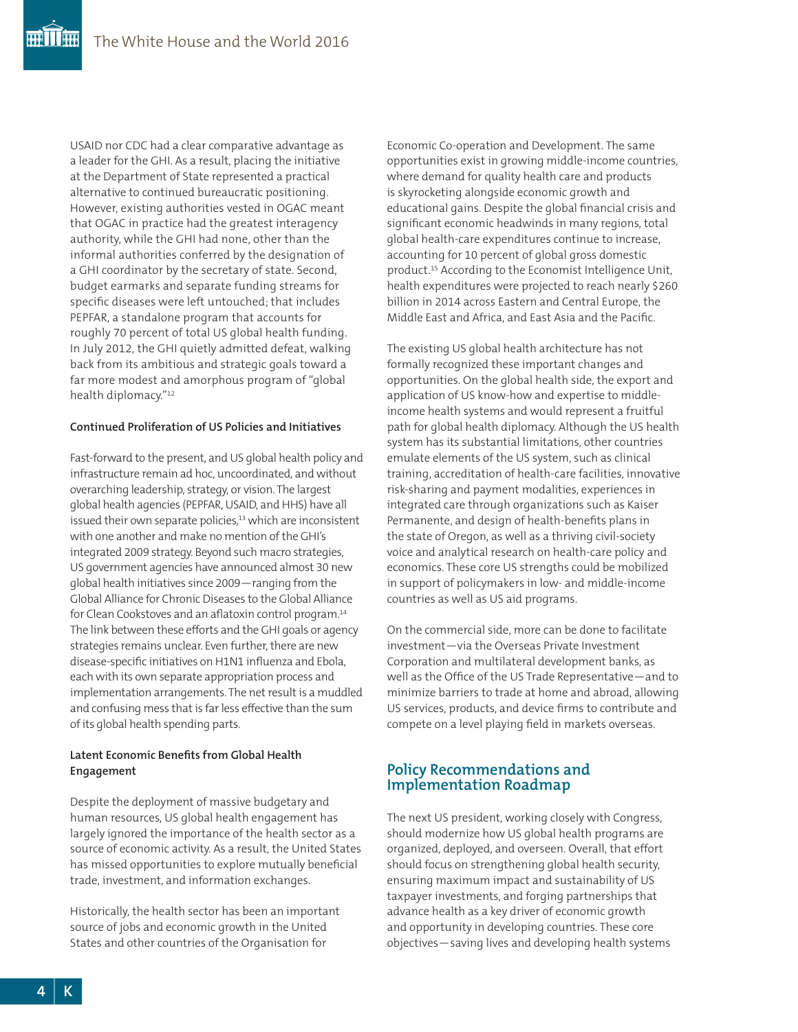USAID nor CDC had a clear comparative advantage as a leader for the GHI. As a result, placing the initiative at the Department of State represented a practical alternative to continued bureaucratic positioning. However, existing authorities vested in OGAC meant that OGAC in practice had the greatest interagency authority, while the GHI had none, other than the informal authorities conferred by the designation of a GHI coordinator by the secretary of state. Second, budget earmarks and separate funding streams for specific diseases were left untouched; that includes PEPFAR, a standalone program that accounts for roughly 70 percent of total US global health funding. In July 2012, the GHI quietly admitted defeat, walking back from its ambitious and strategic goals toward a far more modest and amorphous program of "global health diplomacy."12

#### **Continued Proliferation of US Policies and Initiatives**

Fast-forward to the present, and US global health policy and infrastructure remain ad hoc, uncoordinated, and without overarching leadership, strategy, or vision. The largest global health agencies (PEPFAR, USAID, and HHS) have all issued their own separate policies,<sup>13</sup> which are inconsistent with one another and make no mention of the GHI's integrated 2009 strategy. Beyond such macro strategies, US government agencies have announced almost 30 new global health initiatives since 2009—ranging from the Global Alliance for Chronic Diseases to the Global Alliance for Clean Cookstoves and an aflatoxin control program.14 The link between these efforts and the GHI goals or agency strategies remains unclear. Even further, there are new disease-specific initiatives on H1N1 influenza and Ebola, each with its own separate appropriation process and implementation arrangements. The net result is a muddled and confusing mess that is far less effective than the sum of its global health spending parts.

#### **Latent Economic Benefits from Global Health Engagement**

Despite the deployment of massive budgetary and human resources, US global health engagement has largely ignored the importance of the health sector as a source of economic activity. As a result, the United States has missed opportunities to explore mutually beneficial trade, investment, and information exchanges.

Historically, the health sector has been an important source of jobs and economic growth in the United States and other countries of the Organisation for

Economic Co-operation and Development. The same opportunities exist in growing middle-income countries, where demand for quality health care and products is skyrocketing alongside economic growth and educational gains. Despite the global financial crisis and significant economic headwinds in many regions, total global health-care expenditures continue to increase, accounting for 10 percent of global gross domestic product.15 According to the Economist Intelligence Unit, health expenditures were projected to reach nearly \$260 billion in 2014 across Eastern and Central Europe, the Middle East and Africa, and East Asia and the Pacific.

The existing US global health architecture has not formally recognized these important changes and opportunities. On the global health side, the export and application of US know-how and expertise to middleincome health systems and would represent a fruitful path for global health diplomacy. Although the US health system has its substantial limitations, other countries emulate elements of the US system, such as clinical training, accreditation of health-care facilities, innovative risk-sharing and payment modalities, experiences in integrated care through organizations such as Kaiser Permanente, and design of health-benefits plans in the state of Oregon, as well as a thriving civil-society voice and analytical research on health-care policy and economics. These core US strengths could be mobilized in support of policymakers in low- and middle-income countries as well as US aid programs.

On the commercial side, more can be done to facilitate investment—via the Overseas Private Investment Corporation and multilateral development banks, as well as the Office of the US Trade Representative—and to minimize barriers to trade at home and abroad, allowing US services, products, and device firms to contribute and compete on a level playing field in markets overseas.

# **Policy Recommendations and Implementation Roadmap**

The next US president, working closely with Congress, should modernize how US global health programs are organized, deployed, and overseen. Overall, that effort should focus on strengthening global health security, ensuring maximum impact and sustainability of US taxpayer investments, and forging partnerships that advance health as a key driver of economic growth and opportunity in developing countries. These core objectives—saving lives and developing health systems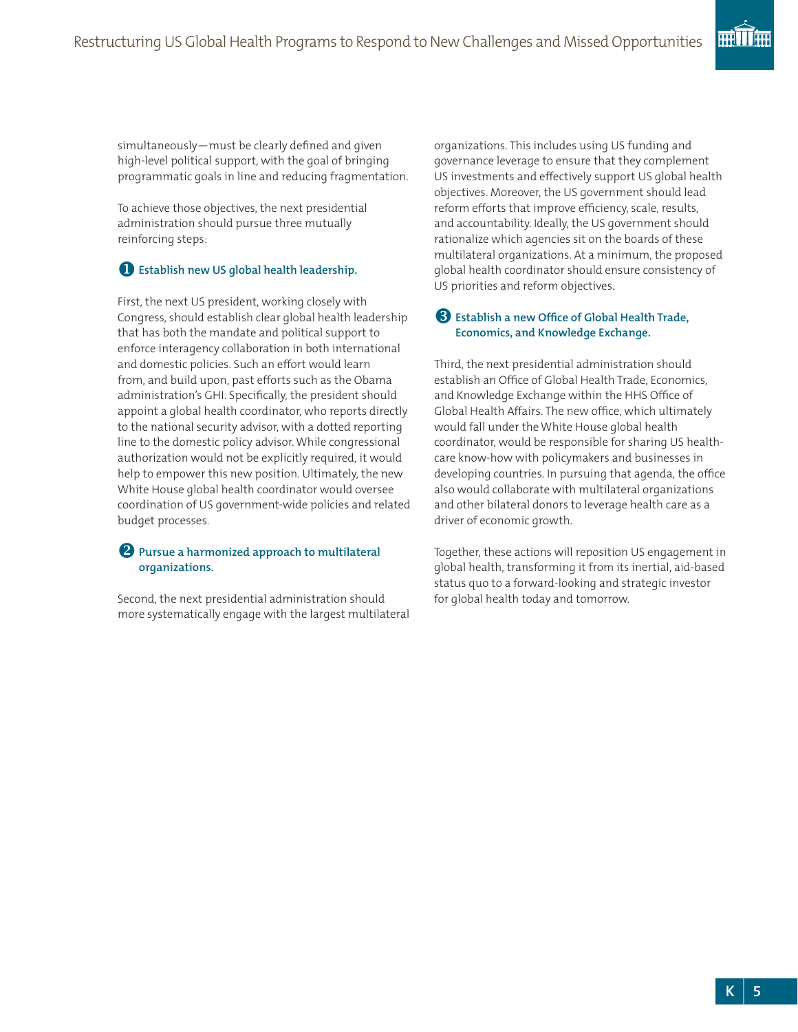simultaneously—must be clearly defined and given high-level political support, with the goal of bringing programmatic goals in line and reducing fragmentation.

To achieve those objectives, the next presidential administration should pursue three mutually reinforcing steps:

# u**Establish new US global health leadership.**

First, the next US president, working closely with Congress, should establish clear global health leadership that has both the mandate and political support to enforce interagency collaboration in both international and domestic policies. Such an effort would learn from, and build upon, past efforts such as the Obama administration's GHI. Specifically, the president should appoint a global health coordinator, who reports directly to the national security advisor, with a dotted reporting line to the domestic policy advisor. While congressional authorization would not be explicitly required, it would help to empower this new position. Ultimately, the new White House global health coordinator would oversee coordination of US government-wide policies and related budget processes.

## **2** Pursue a harmonized approach to multilateral **organizations.**

Second, the next presidential administration should more systematically engage with the largest multilateral organizations. This includes using US funding and governance leverage to ensure that they complement US investments and effectively support US global health objectives. Moreover, the US government should lead reform efforts that improve efficiency, scale, results, and accountability. Ideally, the US government should rationalize which agencies sit on the boards of these multilateral organizations. At a minimum, the proposed global health coordinator should ensure consistency of US priorities and reform objectives.

# **B** Establish a new Office of Global Health Trade, **Economics, and Knowledge Exchange.**

Third, the next presidential administration should establish an Office of Global Health Trade, Economics, and Knowledge Exchange within the HHS Office of Global Health Affairs. The new office, which ultimately would fall under the White House global health coordinator, would be responsible for sharing US healthcare know-how with policymakers and businesses in developing countries. In pursuing that agenda, the office also would collaborate with multilateral organizations and other bilateral donors to leverage health care as a driver of economic growth.

Together, these actions will reposition US engagement in global health, transforming it from its inertial, aid-based status quo to a forward-looking and strategic investor for global health today and tomorrow.